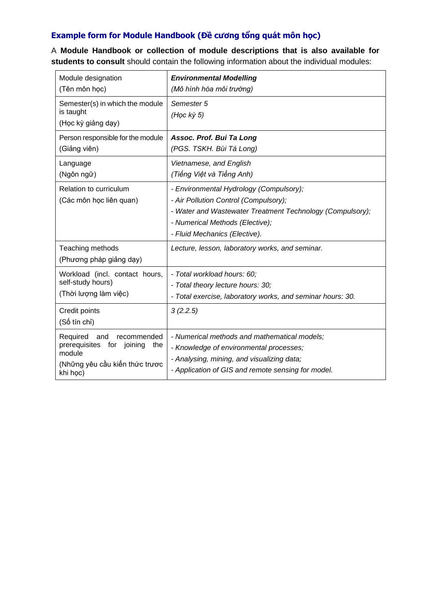## **Example form for Module Handbook (Đề cương tổng quát môn học)**

A **Module Handbook or collection of module descriptions that is also available for students to consult** should contain the following information about the individual modules:

| Module designation<br>(Tên môn học)                                                                                           | <b>Environmental Modelling</b><br>(Mô hình hóa môi trường)                                                                                                                                                        |
|-------------------------------------------------------------------------------------------------------------------------------|-------------------------------------------------------------------------------------------------------------------------------------------------------------------------------------------------------------------|
| Semester(s) in which the module<br>is taught<br>(Học kỳ giảng dạy)                                                            | Semester 5<br>$(Hoc \, k\dot{y} 5)$                                                                                                                                                                               |
| Person responsible for the module<br>(Giảng viên)                                                                             | Assoc. Prof. Bui Ta Long<br>(PGS. TSKH. Bùi Tá Long)                                                                                                                                                              |
| Language<br>(Ngôn ngữ)                                                                                                        | Vietnamese, and English<br>(Tiếng Việt và Tiếng Anh)                                                                                                                                                              |
| Relation to curriculum<br>(Các môn học liên quan)                                                                             | - Environmental Hydrology (Compulsory);<br>- Air Pollution Control (Compulsory);<br>- Water and Wastewater Treatment Technology (Compulsory);<br>- Numerical Methods (Elective);<br>- Fluid Mechanics (Elective). |
| Teaching methods<br>(Phương pháp giảng dạy)                                                                                   | Lecture, lesson, laboratory works, and seminar.                                                                                                                                                                   |
| Workload (incl. contact hours,<br>self-study hours)<br>(Thời lượng làm việc)                                                  | - Total workload hours: 60;<br>- Total theory lecture hours: 30;<br>- Total exercise, laboratory works, and seminar hours: 30.                                                                                    |
| Credit points<br>(Số tín chỉ)                                                                                                 | 3(2.2.5)                                                                                                                                                                                                          |
| Required<br>and<br>recommended<br>prerequisites for<br>joining<br>the<br>module<br>(Những yêu cầu kiến thức trược<br>khi học) | - Numerical methods and mathematical models;<br>- Knowledge of environmental processes;<br>- Analysing, mining, and visualizing data;<br>- Application of GIS and remote sensing for model.                       |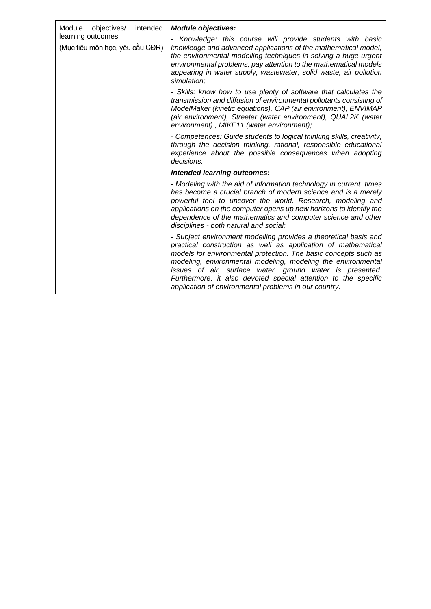| intended<br>Module<br>objectives/<br>learning outcomes<br>(Mục tiêu môn học, yêu cầu CĐR) | <b>Module objectives:</b>                                                                                                                                                                                                                                                                                                                                                                                                                                   |
|-------------------------------------------------------------------------------------------|-------------------------------------------------------------------------------------------------------------------------------------------------------------------------------------------------------------------------------------------------------------------------------------------------------------------------------------------------------------------------------------------------------------------------------------------------------------|
|                                                                                           | Knowledge: this course will provide students with basic<br>knowledge and advanced applications of the mathematical model,<br>the environmental modelling techniques in solving a huge urgent<br>environmental problems, pay attention to the mathematical models<br>appearing in water supply, wastewater, solid waste, air pollution<br>simulation;                                                                                                        |
|                                                                                           | - Skills: know how to use plenty of software that calculates the<br>transmission and diffusion of environmental pollutants consisting of<br>ModelMaker (kinetic equations), CAP (air environment), ENVIMAP<br>(air environment), Streeter (water environment), QUAL2K (water<br>environment), MIKE11 (water environment);                                                                                                                                   |
|                                                                                           | - Competences: Guide students to logical thinking skills, creativity,<br>through the decision thinking, rational, responsible educational<br>experience about the possible consequences when adopting<br>decisions.                                                                                                                                                                                                                                         |
|                                                                                           | Intended learning outcomes:                                                                                                                                                                                                                                                                                                                                                                                                                                 |
|                                                                                           | - Modeling with the aid of information technology in current times<br>has become a crucial branch of modern science and is a merely<br>powerful tool to uncover the world. Research, modeling and<br>applications on the computer opens up new horizons to identify the<br>dependence of the mathematics and computer science and other<br>disciplines - both natural and social;                                                                           |
|                                                                                           | - Subject environment modelling provides a theoretical basis and<br>practical construction as well as application of mathematical<br>models for environmental protection. The basic concepts such as<br>modeling, environmental modeling, modeling the environmental<br>issues of air, surface water, ground water is presented.<br>Furthermore, it also devoted special attention to the specific<br>application of environmental problems in our country. |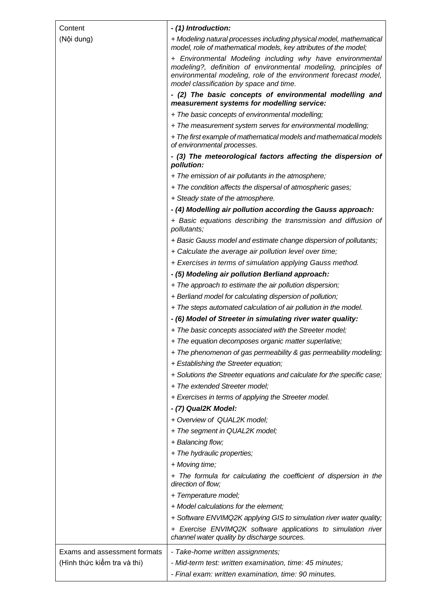| Content                      | - (1) Introduction:                                                                                                                                                                                                                       |
|------------------------------|-------------------------------------------------------------------------------------------------------------------------------------------------------------------------------------------------------------------------------------------|
| (Nội dung)                   | + Modeling natural processes including physical model, mathematical                                                                                                                                                                       |
|                              | model, role of mathematical models, key attributes of the model;                                                                                                                                                                          |
|                              | + Environmental Modeling including why have environmental<br>modeling?, definition of environmental modeling, principles of<br>environmental modeling, role of the environment forecast model,<br>model classification by space and time. |
|                              | - (2) The basic concepts of environmental modelling and<br>measurement systems for modelling service:                                                                                                                                     |
|                              | + The basic concepts of environmental modelling;                                                                                                                                                                                          |
|                              | + The measurement system serves for environmental modelling;                                                                                                                                                                              |
|                              | + The first example of mathematical models and mathematical models<br>of environmental processes.                                                                                                                                         |
|                              | - (3) The meteorological factors affecting the dispersion of<br>pollution:                                                                                                                                                                |
|                              | + The emission of air pollutants in the atmosphere;                                                                                                                                                                                       |
|                              | + The condition affects the dispersal of atmospheric gases;                                                                                                                                                                               |
|                              | + Steady state of the atmosphere.                                                                                                                                                                                                         |
|                              | - (4) Modelling air pollution according the Gauss approach:                                                                                                                                                                               |
|                              | + Basic equations describing the transmission and diffusion of<br>pollutants;                                                                                                                                                             |
|                              | + Basic Gauss model and estimate change dispersion of pollutants;                                                                                                                                                                         |
|                              | + Calculate the average air pollution level over time;                                                                                                                                                                                    |
|                              | + Exercises in terms of simulation applying Gauss method.                                                                                                                                                                                 |
|                              | - (5) Modeling air pollution Berliand approach:                                                                                                                                                                                           |
|                              | + The approach to estimate the air pollution dispersion;                                                                                                                                                                                  |
|                              | + Berliand model for calculating dispersion of pollution;                                                                                                                                                                                 |
|                              | + The steps automated calculation of air pollution in the model.                                                                                                                                                                          |
|                              | - (6) Model of Streeter in simulating river water quality:                                                                                                                                                                                |
|                              | + The basic concepts associated with the Streeter model;                                                                                                                                                                                  |
|                              | + The equation decomposes organic matter superlative;                                                                                                                                                                                     |
|                              | + The phenomenon of gas permeability & gas permeability modeling;                                                                                                                                                                         |
|                              | + Establishing the Streeter equation;                                                                                                                                                                                                     |
|                              | + Solutions the Streeter equations and calculate for the specific case;                                                                                                                                                                   |
|                              | + The extended Streeter model;                                                                                                                                                                                                            |
|                              | + Exercises in terms of applying the Streeter model.                                                                                                                                                                                      |
|                              | - (7) Qual2K Model:                                                                                                                                                                                                                       |
|                              | + Overview of QUAL2K model;                                                                                                                                                                                                               |
|                              | + The segment in QUAL2K model;                                                                                                                                                                                                            |
|                              | + Balancing flow;                                                                                                                                                                                                                         |
|                              | + The hydraulic properties;                                                                                                                                                                                                               |
|                              | + Moving time;                                                                                                                                                                                                                            |
|                              | + The formula for calculating the coefficient of dispersion in the<br>direction of flow;                                                                                                                                                  |
|                              | + Temperature model;                                                                                                                                                                                                                      |
|                              | + Model calculations for the element;                                                                                                                                                                                                     |
|                              | + Software ENVIMQ2K applying GIS to simulation river water quality;                                                                                                                                                                       |
|                              | + Exercise ENVIMQ2K software applications to simulation river<br>channel water quality by discharge sources.                                                                                                                              |
| Exams and assessment formats | - Take-home written assignments;                                                                                                                                                                                                          |
| (Hình thức kiểm tra và thi)  | - Mid-term test: written examination, time: 45 minutes;                                                                                                                                                                                   |
|                              | - Final exam: written examination, time: 90 minutes.                                                                                                                                                                                      |